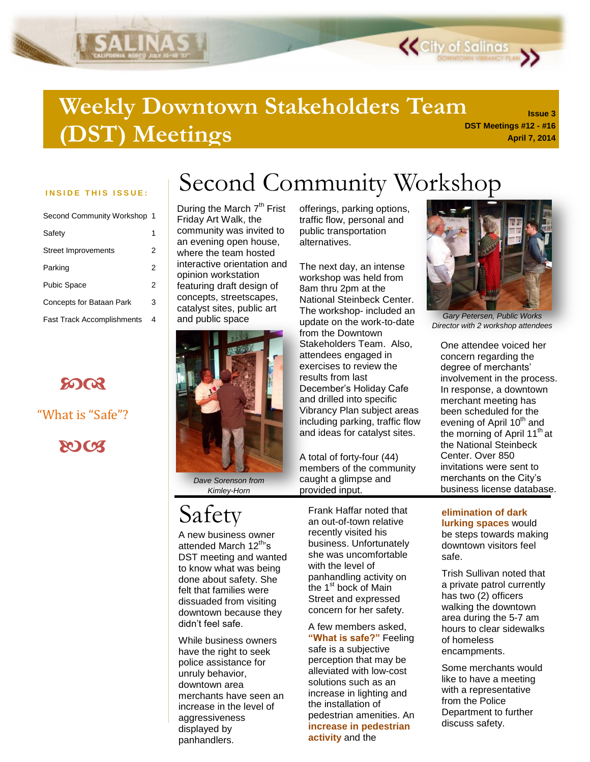### **DST Meetings #12 - #16 Weekly Downtown Stakeholders Team (DST) Meetings**

SALINAS

| Second Community Workshop 1       |   |
|-----------------------------------|---|
| Safety                            |   |
| Street Improvements               | 2 |
| Parking                           | 2 |
| Pubic Space                       | 2 |
| <b>Concepts for Bataan Park</b>   | 3 |
| <b>Fast Track Accomplishments</b> | 4 |



"What is "Safe"?

**2003** 

### INSIDE THIS ISSUE: | Second Community Workshop

During the March 7<sup>th</sup> Frist Friday Art Walk, the community was invited to an evening open house, where the team hosted interactive orientation and opinion workstation featuring draft design of concepts, streetscapes, catalyst sites, public art and public space



*Dave Sorenson from Kimley-Horn*

### Safety

A new business owner attended March 12<sup>th</sup>'s DST meeting and wanted to know what was being done about safety. She felt that families were dissuaded from visiting downtown because they didn"t feel safe.

While business owners have the right to seek police assistance for unruly behavior, downtown area merchants have seen an increase in the level of aggressiveness displayed by panhandlers.

offerings, parking options, traffic flow, personal and public transportation alternatives.

The next day, an intense workshop was held from 8am thru 2pm at the National Steinbeck Center. The workshop- included an update on the work-to-date from the Downtown Stakeholders Team. Also, attendees engaged in exercises to review the results from last December"s Holiday Cafe and drilled into specific Vibrancy Plan subject areas including parking, traffic flow and ideas for catalyst sites.

A total of forty-four (44) members of the community caught a glimpse and provided input.

Frank Haffar noted that an out-of-town relative recently visited his business. Unfortunately she was uncomfortable with the level of panhandling activity on the 1<sup>st</sup> bock of Main Street and expressed concern for her safety.

A few members asked, **"What is safe?"** Feeling safe is a subjective perception that may be alleviated with low-cost solutions such as an increase in lighting and the installation of pedestrian amenities. An **increase in pedestrian activity** and the



**K** City of Salinas

**Issue 3**

**April 7, 2014**

*Gary Petersen, Public Works Director with 2 workshop attendees*

One attendee voiced her concern regarding the degree of merchants" involvement in the process. In response, a downtown merchant meeting has been scheduled for the evening of April  $10<sup>th</sup>$  and the morning of April  $11<sup>th</sup>$  at the National Steinbeck Center. Over 850 invitations were sent to merchants on the City"s business license database.

#### **elimination of dark lurking spaces** would be steps towards making downtown visitors feel safe.

Trish Sullivan noted that a private patrol currently has two (2) officers walking the downtown area during the 5-7 am hours to clear sidewalks of homeless encampments.

Some merchants would like to have a meeting with a representative from the Police Department to further discuss safety.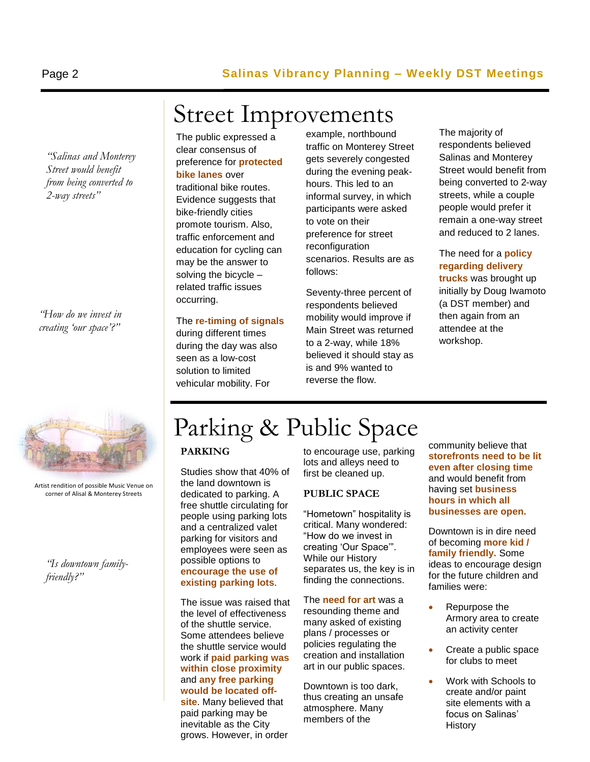*"Salinas and Monterey Street would benefit from being converted to 2-way streets"*

*"How do we invest in creating "our space"?"*



Artist rendition of possible Music Venue on corner of Alisal & Monterey Streets

*"Is downtown familyfriendly?"*

## Street Improvements

The public expressed a clear consensus of preference for **protected bike lanes** over traditional bike routes. Evidence suggests that bike-friendly cities promote tourism. Also, traffic enforcement and education for cycling can may be the answer to solving the bicycle – related traffic issues occurring.

The **re-timing of signals** 

during different times during the day was also seen as a low-cost solution to limited vehicular mobility. For

example, northbound traffic on Monterey Street gets severely congested during the evening peakhours. This led to an informal survey, in which participants were asked to vote on their preference for street reconfiguration scenarios. Results are as follows:

Seventy-three percent of respondents believed mobility would improve if Main Street was returned to a 2-way, while 18% believed it should stay as is and 9% wanted to reverse the flow.

The majority of respondents believed Salinas and Monterey Street would benefit from being converted to 2-way streets, while a couple people would prefer it remain a one-way street and reduced to 2 lanes.

The need for a **policy regarding delivery trucks** was brought up initially by Doug Iwamoto (a DST member) and then again from an attendee at the workshop.

# Parking & Public Space

#### **PARKING**

Studies show that 40% of the land downtown is dedicated to parking. A free shuttle circulating for people using parking lots and a centralized valet parking for visitors and employees were seen as possible options to **encourage the use of existing parking lots**.

The issue was raised that the level of effectiveness of the shuttle service. Some attendees believe the shuttle service would work if **paid parking was within close proximity** and **any free parking would be located offsite**. Many believed that paid parking may be inevitable as the City grows. However, in order

to encourage use, parking lots and alleys need to first be cleaned up.

#### **PUBLIC SPACE**

"Hometown" hospitality is critical. Many wondered: "How do we invest in creating "Our Space"". While our History separates us, the key is in finding the connections.

The **need for art** was a resounding theme and many asked of existing plans / processes or policies regulating the creation and installation art in our public spaces.

Downtown is too dark, thus creating an unsafe atmosphere. Many members of the

community believe that **storefronts need to be lit even after closing time** and would benefit from having set **business hours in which all businesses are open.**

Downtown is in dire need of becoming **more kid / family friendly.** Some ideas to encourage design for the future children and families were:

- Repurpose the Armory area to create an activity center
- Create a public space for clubs to meet
- Work with Schools to create and/or paint site elements with a focus on Salinas" **History**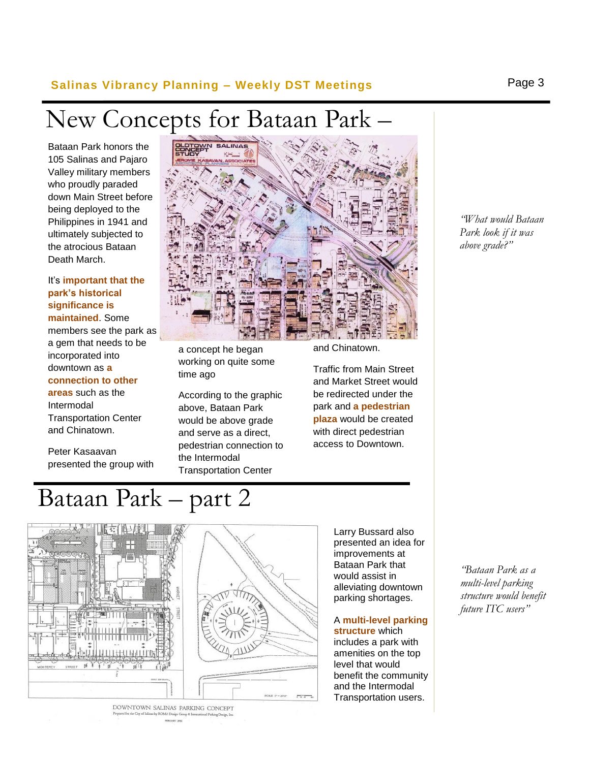#### **Salinas Vibrancy Planning – Weekly DST Meetings** Page 3

# New Concepts for Bataan Park –

Bataan Park honors the<br>105 Salinas and Pajaro Bataan Park honors the Valley military members who proudly paraded down Main Street before being deployed to the Philippines in 1941 and ultimately subjected to the atrocious Bataan Death March.

#### It"s **important that the park's historical significance is maintained**. Some members see the park as a gem that needs to be incorporated into downtown as **a connection to other areas** such as the

Intermodal Transportation Center and Chinatown.

Peter Kasaavan presented the group with



a concept he began working on quite some time ago

According to the graphic above, Bataan Park would be above grade and serve as a direct, pedestrian connection to the Intermodal Transportation Center

and Chinatown.

Traffic from Main Street and Market Street would be redirected under the park and **a pedestrian plaza** would be created with direct pedestrian access to Downtown.

> Larry Bussard also presented an idea for improvements at Bataan Park that would assist in alleviating downtown parking shortages.

A **multi-level parking structure** which includes a park with amenities on the top level that would benefit the community and the Intermodal Transportation users.

*"What would Bataan Park look if it was above grade?"*

*"Bataan Park as a multi-level parking structure would benefit future ITC users"*



DOWNTOWN SALINAS PARKING CONCEPT